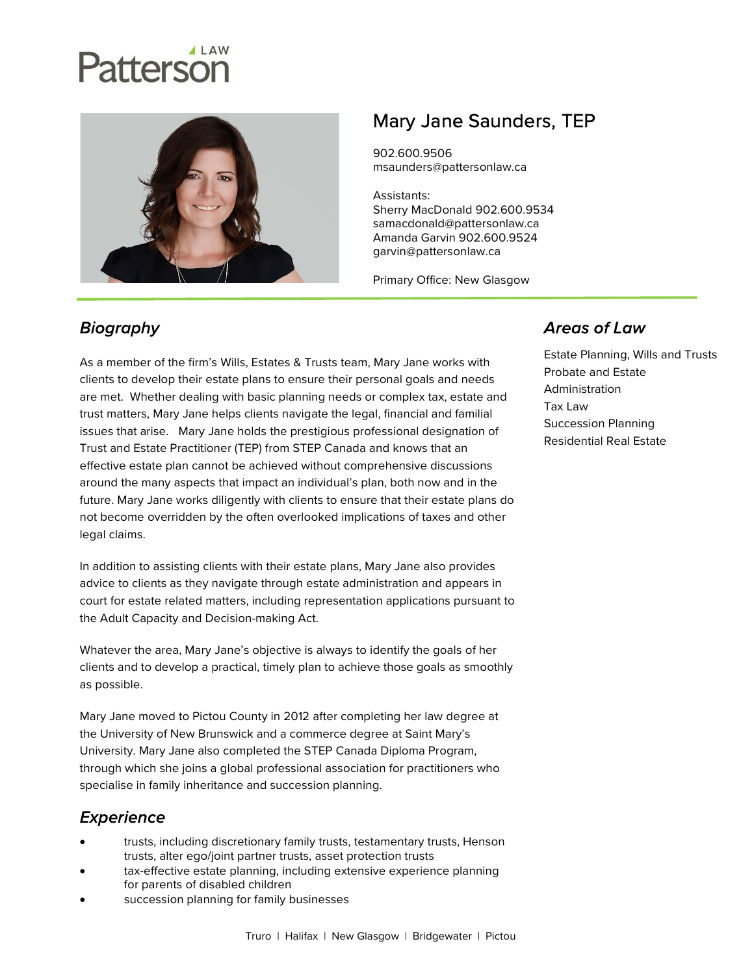# attersor



# Mary Jane Saunders, TEP

902.600.9506 msaunders@pattersonlaw.ca

Assistants: Sherry MacDonald 902.600.9534 samacdonald@pattersonlaw.ca Amanda Garvin 902.600.9524 garvin@pattersonlaw.ca

Primary Office: New Glasgow

## **Biography**

As a member of the firm's Wills, Estates & Trusts team, Mary Jane works with clients to develop their estate plans to ensure their personal goals and needs are met. Whether dealing with basic planning needs or complex tax, estate and trust matters, Mary Jane helps clients navigate the legal, financial and familial issues that arise. Mary Jane holds the prestigious professional designation of Trust and Estate Practitioner (TEP) from STEP Canada and knows that an effective estate plan cannot be achieved without comprehensive discussions around the many aspects that impact an individual's plan, both now and in the future. Mary Jane works diligently with clients to ensure that their estate plans do not become overridden by the often overlooked implications of taxes and other legal claims.

In addition to assisting clients with their estate plans, Mary Jane also provides advice to clients as they navigate through estate administration and appears in court for estate related matters, including representation applications pursuant to the Adult Capacity and Decision-making Act.

Whatever the area, Mary Jane's objective is always to identify the goals of her clients and to develop a practical, timely plan to achieve those goals as smoothly as possible.

Mary Jane moved to Pictou County in 2012 after completing her law degree at the University of New Brunswick and a commerce degree at Saint Mary's University. Mary Jane also completed the STEP Canada Diploma Program, through which she joins a global professional association for practitioners who specialise in family inheritance and succession planning.

### *Experience*

- trusts, including discretionary family trusts, testamentary trusts, Henson trusts, alter ego/joint partner trusts, asset protection trusts
- tax-effective estate planning, including extensive experience planning for parents of disabled children
- succession planning for family businesses

#### **Areas of Law**

Estate Planning, Wills and Trusts Probate and Estate Administration Tax Law Succession Planning Residential Real Estate